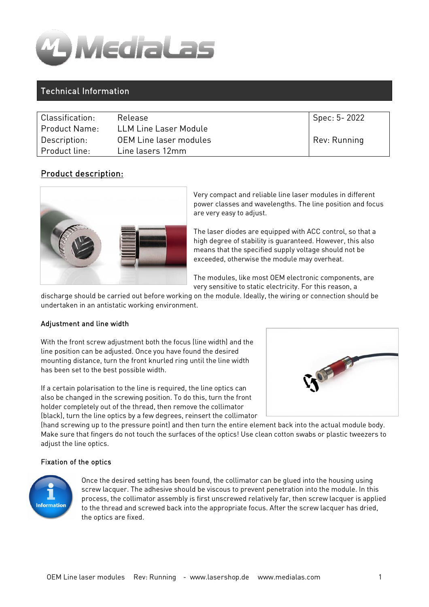

# Technical Information

| Classification:      | Release                       | Spec: 5-2022 |
|----------------------|-------------------------------|--------------|
| <b>Product Name:</b> | LLM Line Laser Module         |              |
| Description:         | <b>OEM Line laser modules</b> | Rev: Running |
| Product line:        | Line lasers 12mm              |              |

# Product description:



Very compact and reliable line laser modules in different power classes and wavelengths. The line position and focus are very easy to adjust.

The laser diodes are equipped with ACC control, so that a high degree of stability is guaranteed. However, this also means that the specified supply voltage should not be exceeded, otherwise the module may overheat.

The modules, like most OEM electronic components, are very sensitive to static electricity. For this reason, a

discharge should be carried out before working on the module. Ideally, the wiring or connection should be undertaken in an antistatic working environment.

## Adjustment and line width

With the front screw adjustment both the focus (line width) and the line position can be adjusted. Once you have found the desired mounting distance, turn the front knurled ring until the line width has been set to the best possible width.

If a certain polarisation to the line is required, the line optics can also be changed in the screwing position. To do this, turn the front holder completely out of the thread, then remove the collimator (black), turn the line optics by a few degrees, reinsert the collimator



(hand screwing up to the pressure point) and then turn the entire element back into the actual module body. Make sure that fingers do not touch the surfaces of the optics! Use clean cotton swabs or plastic tweezers to adjust the line optics.

### Fixation of the optics



Once the desired setting has been found, the collimator can be glued into the housing using screw lacquer. The adhesive should be viscous to prevent penetration into the module. In this process, the collimator assembly is first unscrewed relatively far, then screw lacquer is applied to the thread and screwed back into the appropriate focus. After the screw lacquer has dried, the optics are fixed.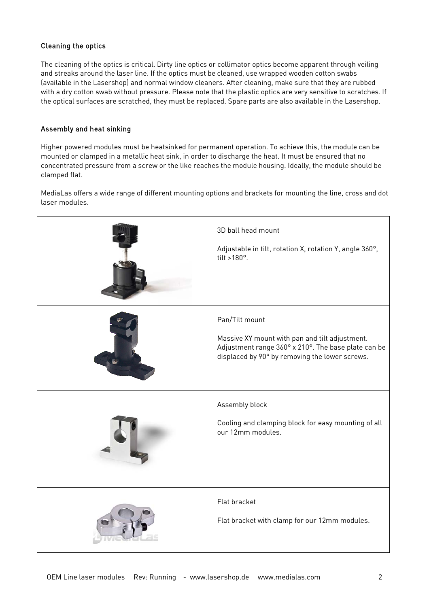# Cleaning the optics

The cleaning of the optics is critical. Dirty line optics or collimator optics become apparent through veiling and streaks around the laser line. If the optics must be cleaned, use wrapped wooden cotton swabs (available in the Lasershop) and normal window cleaners. After cleaning, make sure that they are rubbed with a dry cotton swab without pressure. Please note that the plastic optics are very sensitive to scratches. If the optical surfaces are scratched, they must be replaced. Spare parts are also available in the Lasershop.

### Assembly and heat sinking

Higher powered modules must be heatsinked for permanent operation. To achieve this, the module can be mounted or clamped in a metallic heat sink, in order to discharge the heat. It must be ensured that no concentrated pressure from a screw or the like reaches the module housing. Ideally, the module should be clamped flat.

MediaLas offers a wide range of different mounting options and brackets for mounting the line, cross and dot laser modules.

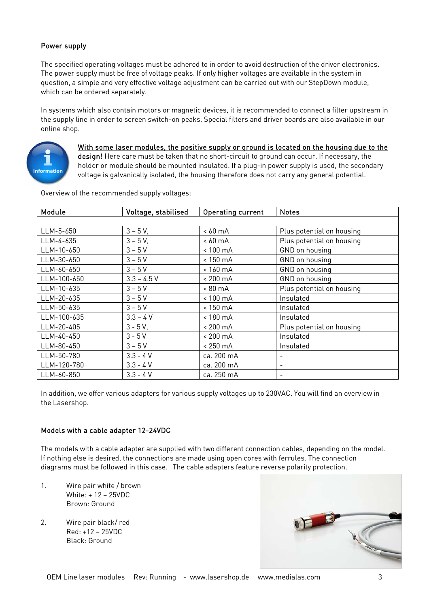# Power supply

The specified operating voltages must be adhered to in order to avoid destruction of the driver electronics. The power supply must be free of voltage peaks. If only higher voltages are available in the system in question, a simple and very effective voltage adjustment can be carried out with our StepDown module, which can be ordered separately.

In systems which also contain motors or magnetic devices, it is recommended to connect a filter upstream in the supply line in order to screen switch-on peaks. Special filters and driver boards are also available in our online shop.



With some laser modules, the positive supply or ground is located on the housing due to the design! Here care must be taken that no short-circuit to ground can occur. If necessary, the holder or module should be mounted insulated. If a plug-in power supply is used, the secondary voltage is galvanically isolated, the housing therefore does not carry any general potential.

Overview of the recommended supply voltages:

| Module      | Voltage, stabilised | Operating current  | <b>Notes</b>              |
|-------------|---------------------|--------------------|---------------------------|
|             |                     |                    |                           |
| LLM-5-650   | $3 - 5V$            | ~< 60~mA           | Plus potential on housing |
| LLM-4-635   | $3 - 5V$            | $< 60 \text{ mA}$  | Plus potential on housing |
| LLM-10-650  | $3 - 5V$            | $< 100 \text{ mA}$ | GND on housing            |
| LLM-30-650  | $3 - 5V$            | < 150 mA           | GND on housing            |
| LLM-60-650  | $3 - 5V$            | $< 160 \text{ mA}$ | GND on housing            |
| LLM-100-650 | $3.3 - 4.5 V$       | $< 200 \text{ mA}$ | GND on housing            |
| LLM-10-635  | $3 - 5V$            | $< 80 \text{ mA}$  | Plus potential on housing |
| LLM-20-635  | $3 - 5V$            | $< 100 \text{ mA}$ | Insulated                 |
| LLM-50-635  | $3 - 5V$            | $< 150 \text{ mA}$ | Insulated                 |
| LLM-100-635 | $3.3 - 4 V$         | < 180 mA           | Insulated                 |
| LLM-20-405  | $3 - 5V$ ,          | $< 200 \text{ mA}$ | Plus potential on housing |
| LLM-40-450  | $3 - 5V$            | $< 200 \text{ mA}$ | Insulated                 |
| LLM-80-450  | $3 - 5V$            | $< 250 \text{ mA}$ | Insulated                 |
| LLM-50-780  | $3.3 - 4 V$         | ca. 200 mA         | $\overline{\phantom{0}}$  |
| LLM-120-780 | $3.3 - 4 V$         | ca. 200 mA         | $\overline{\phantom{a}}$  |
| LLM-60-850  | $3.3 - 4 V$         | ca. 250 mA         | $\qquad \qquad -$         |

In addition, we offer various adapters for various supply voltages up to 230VAC. You will find an overview in the Lasershop.

### Models with a cable adapter 12-24VDC

The models with a cable adapter are supplied with two different connection cables, depending on the model. If nothing else is desired, the connections are made using open cores with ferrules. The connection diagrams must be followed in this case. The cable adapters feature reverse polarity protection.

- 1. Wire pair white / brown White: + 12 – 25VDC Brown: Ground
- 2. Wire pair black/ red Red: +12 – 25VDC Black: Ground